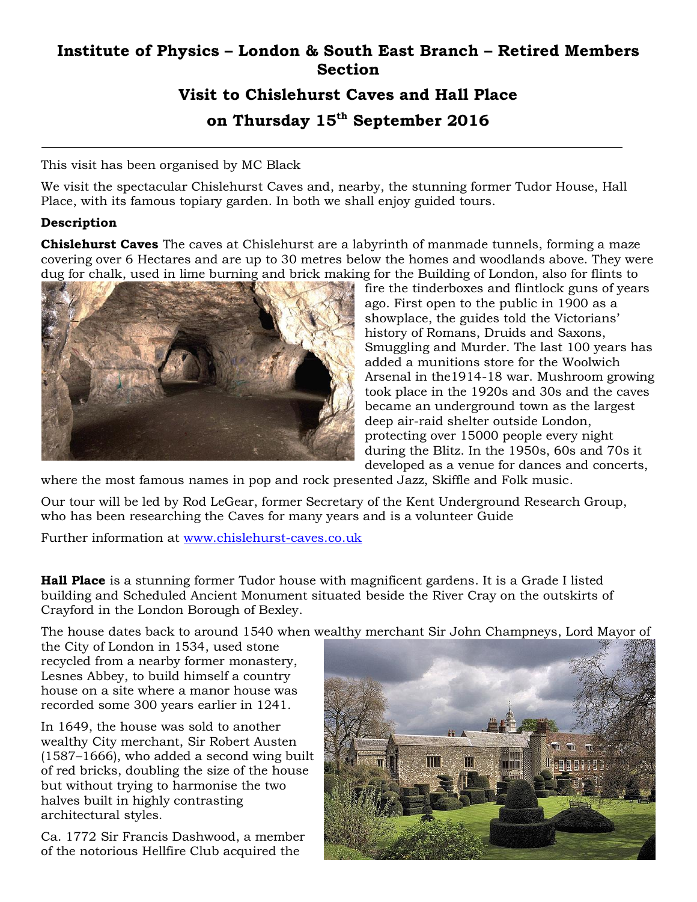## **Institute of Physics – London & South East Branch – Retired Members Section**

## **Visit to Chislehurst Caves and Hall Place on Thursday 15th September 2016**

This visit has been organised by MC Black

We visit the spectacular Chislehurst Caves and, nearby, the stunning former Tudor House, Hall Place, with its famous topiary garden. In both we shall enjoy guided tours.

## **Description**

**Chislehurst Caves** The caves at Chislehurst are a labyrinth of manmade tunnels, forming a maze covering over 6 Hectares and are up to 30 metres below the homes and woodlands above. They were dug for chalk, used in lime burning and brick making for the Building of London, also for flints to



fire the tinderboxes and flintlock guns of years ago. First open to the public in 1900 as a showplace, the guides told the Victorians' history of Romans, Druids and Saxons, Smuggling and Murder. The last 100 years has added a munitions store for the Woolwich Arsenal in the1914-18 war. Mushroom growing took place in the 1920s and 30s and the caves became an underground town as the largest deep air-raid shelter outside London, protecting over 15000 people every night during the Blitz. In the 1950s, 60s and 70s it developed as a venue for dances and concerts,

where the most famous names in pop and rock presented Jazz, Skiffle and Folk music.

Our tour will be led by Rod LeGear, former Secretary of the Kent Underground Research Group, who has been researching the Caves for many years and is a volunteer Guide

Further information at [www.chislehurst-caves.co.uk](http://www.chislehurst-caves.co.uk/)

**Hall Place** is a stunning former [Tudor house with magnificent gardens.](https://en.wikipedia.org/wiki/Stately_home) It is a [Grade I listed](https://en.wikipedia.org/wiki/Grade_I_listed_building)  [building](https://en.wikipedia.org/wiki/Grade_I_listed_building) and Scheduled Ancient Monument situated beside the [River Cray](https://en.wikipedia.org/wiki/River_Cray) on the outskirts of [Crayford](https://en.wikipedia.org/wiki/Crayford) in the [London Borough of Bexley.](https://en.wikipedia.org/wiki/London_Borough_of_Bexley)

The house dates back to around 1540 when wealthy merchant Sir [John Champneys,](https://en.wikipedia.org/wiki/John_Champneys) [Lord Mayor of](https://en.wikipedia.org/wiki/Lord_Mayor_of_the_City_of_London) 

[the City of London](https://en.wikipedia.org/wiki/Lord_Mayor_of_the_City_of_London) in 1534, used stone recycled from a nearby former [monastery,](https://en.wikipedia.org/wiki/Monastery) [Lesnes Abbey,](https://en.wikipedia.org/wiki/Lesnes_Abbey) to build himself a country house on a site where a manor house was recorded some 300 years earlier in 1241.

In 1649, the house was sold to another wealthy [City](https://en.wikipedia.org/wiki/City_of_London) merchant, Sir [Robert Austen](https://en.wikipedia.org/wiki/Sir_Robert_Austen,_1st_Baronet) (1587–1666), who added a second wing built of red bricks, doubling the size of the house but without trying to harmonise the two halves built in highly contrasting architectural styles.

Ca. 1772 Sir [Francis Dashwood,](https://en.wikipedia.org/wiki/Francis_Dashwood,_11th_Baron_le_Despencer) a member of the notorious [Hellfire Club](https://en.wikipedia.org/wiki/Hellfire_Club) acquired the